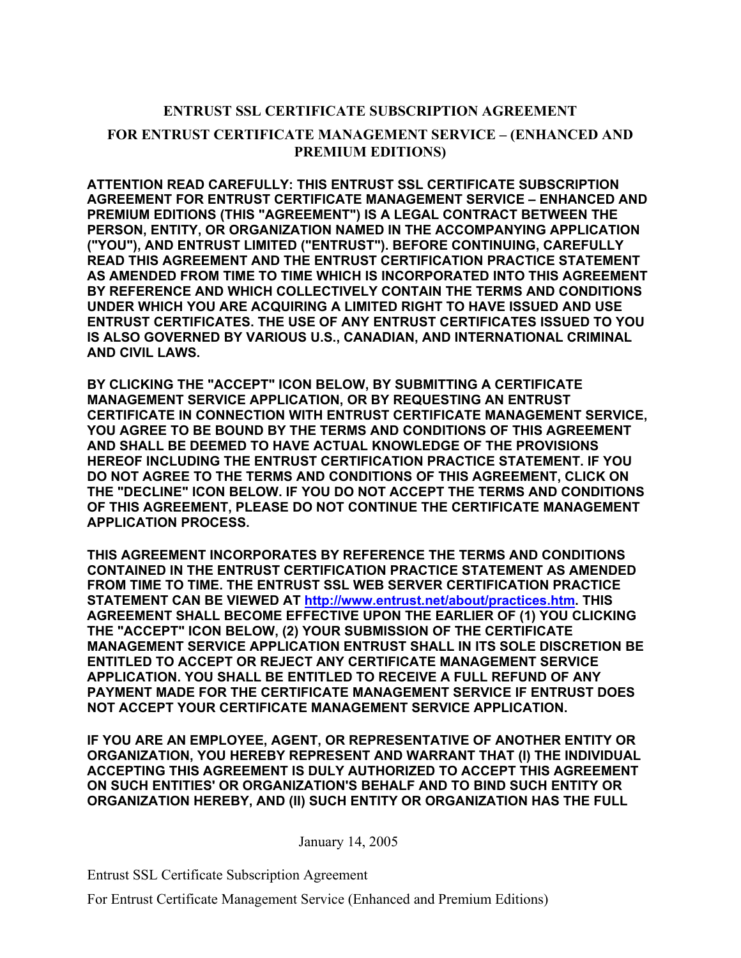## **ENTRUST SSL CERTIFICATE SUBSCRIPTION AGREEMENT FOR ENTRUST CERTIFICATE MANAGEMENT SERVICE – (ENHANCED AND PREMIUM EDITIONS)**

**ATTENTION READ CAREFULLY: THIS ENTRUST SSL CERTIFICATE SUBSCRIPTION AGREEMENT FOR ENTRUST CERTIFICATE MANAGEMENT SERVICE – ENHANCED AND PREMIUM EDITIONS (THIS "AGREEMENT") IS A LEGAL CONTRACT BETWEEN THE PERSON, ENTITY, OR ORGANIZATION NAMED IN THE ACCOMPANYING APPLICATION ("YOU"), AND ENTRUST LIMITED ("ENTRUST"). BEFORE CONTINUING, CAREFULLY READ THIS AGREEMENT AND THE ENTRUST CERTIFICATION PRACTICE STATEMENT AS AMENDED FROM TIME TO TIME WHICH IS INCORPORATED INTO THIS AGREEMENT BY REFERENCE AND WHICH COLLECTIVELY CONTAIN THE TERMS AND CONDITIONS UNDER WHICH YOU ARE ACQUIRING A LIMITED RIGHT TO HAVE ISSUED AND USE ENTRUST CERTIFICATES. THE USE OF ANY ENTRUST CERTIFICATES ISSUED TO YOU IS ALSO GOVERNED BY VARIOUS U.S., CANADIAN, AND INTERNATIONAL CRIMINAL AND CIVIL LAWS.** 

**BY CLICKING THE "ACCEPT" ICON BELOW, BY SUBMITTING A CERTIFICATE MANAGEMENT SERVICE APPLICATION, OR BY REQUESTING AN ENTRUST CERTIFICATE IN CONNECTION WITH ENTRUST CERTIFICATE MANAGEMENT SERVICE, YOU AGREE TO BE BOUND BY THE TERMS AND CONDITIONS OF THIS AGREEMENT AND SHALL BE DEEMED TO HAVE ACTUAL KNOWLEDGE OF THE PROVISIONS HEREOF INCLUDING THE ENTRUST CERTIFICATION PRACTICE STATEMENT. IF YOU DO NOT AGREE TO THE TERMS AND CONDITIONS OF THIS AGREEMENT, CLICK ON THE "DECLINE" ICON BELOW. IF YOU DO NOT ACCEPT THE TERMS AND CONDITIONS OF THIS AGREEMENT, PLEASE DO NOT CONTINUE THE CERTIFICATE MANAGEMENT APPLICATION PROCESS.** 

**THIS AGREEMENT INCORPORATES BY REFERENCE THE TERMS AND CONDITIONS CONTAINED IN THE ENTRUST CERTIFICATION PRACTICE STATEMENT AS AMENDED FROM TIME TO TIME. THE ENTRUST SSL WEB SERVER CERTIFICATION PRACTICE STATEMENT CAN BE VIEWED AT http://www.entrust.net/about/practices.htm. THIS AGREEMENT SHALL BECOME EFFECTIVE UPON THE EARLIER OF (1) YOU CLICKING THE "ACCEPT" ICON BELOW, (2) YOUR SUBMISSION OF THE CERTIFICATE MANAGEMENT SERVICE APPLICATION ENTRUST SHALL IN ITS SOLE DISCRETION BE ENTITLED TO ACCEPT OR REJECT ANY CERTIFICATE MANAGEMENT SERVICE APPLICATION. YOU SHALL BE ENTITLED TO RECEIVE A FULL REFUND OF ANY PAYMENT MADE FOR THE CERTIFICATE MANAGEMENT SERVICE IF ENTRUST DOES NOT ACCEPT YOUR CERTIFICATE MANAGEMENT SERVICE APPLICATION.** 

**IF YOU ARE AN EMPLOYEE, AGENT, OR REPRESENTATIVE OF ANOTHER ENTITY OR ORGANIZATION, YOU HEREBY REPRESENT AND WARRANT THAT (I) THE INDIVIDUAL ACCEPTING THIS AGREEMENT IS DULY AUTHORIZED TO ACCEPT THIS AGREEMENT ON SUCH ENTITIES' OR ORGANIZATION'S BEHALF AND TO BIND SUCH ENTITY OR ORGANIZATION HEREBY, AND (II) SUCH ENTITY OR ORGANIZATION HAS THE FULL** 

January 14, 2005

Entrust SSL Certificate Subscription Agreement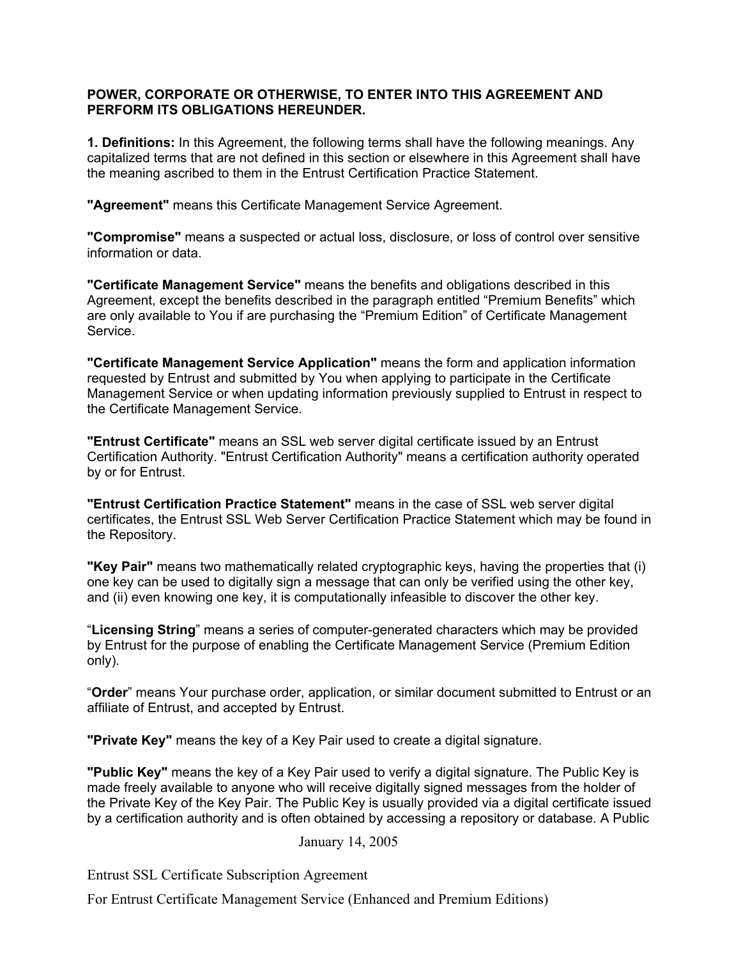## **POWER, CORPORATE OR OTHERWISE, TO ENTER INTO THIS AGREEMENT AND PERFORM ITS OBLIGATIONS HEREUNDER.**

**1. Definitions:** In this Agreement, the following terms shall have the following meanings. Any capitalized terms that are not defined in this section or elsewhere in this Agreement shall have the meaning ascribed to them in the Entrust Certification Practice Statement.

**"Agreement"** means this Certificate Management Service Agreement.

**"Compromise"** means a suspected or actual loss, disclosure, or loss of control over sensitive information or data.

**"Certificate Management Service"** means the benefits and obligations described in this Agreement, except the benefits described in the paragraph entitled "Premium Benefits" which are only available to You if are purchasing the "Premium Edition" of Certificate Management Service.

**"Certificate Management Service Application"** means the form and application information requested by Entrust and submitted by You when applying to participate in the Certificate Management Service or when updating information previously supplied to Entrust in respect to the Certificate Management Service.

**"Entrust Certificate"** means an SSL web server digital certificate issued by an Entrust Certification Authority. "Entrust Certification Authority" means a certification authority operated by or for Entrust.

**"Entrust Certification Practice Statement"** means in the case of SSL web server digital certificates, the Entrust SSL Web Server Certification Practice Statement which may be found in the Repository.

**"Key Pair"** means two mathematically related cryptographic keys, having the properties that (i) one key can be used to digitally sign a message that can only be verified using the other key, and (ii) even knowing one key, it is computationally infeasible to discover the other key.

"**Licensing String**" means a series of computer-generated characters which may be provided by Entrust for the purpose of enabling the Certificate Management Service (Premium Edition only).

"**Order**" means Your purchase order, application, or similar document submitted to Entrust or an affiliate of Entrust, and accepted by Entrust.

**"Private Key"** means the key of a Key Pair used to create a digital signature.

**"Public Key"** means the key of a Key Pair used to verify a digital signature. The Public Key is made freely available to anyone who will receive digitally signed messages from the holder of the Private Key of the Key Pair. The Public Key is usually provided via a digital certificate issued by a certification authority and is often obtained by accessing a repository or database. A Public

## January 14, 2005

Entrust SSL Certificate Subscription Agreement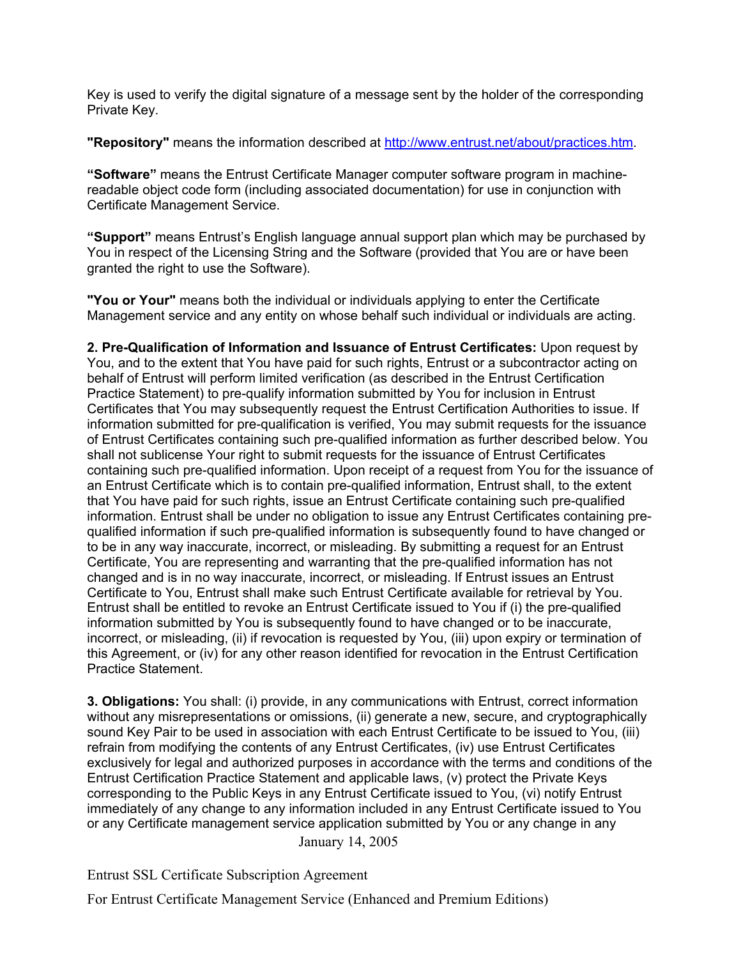Key is used to verify the digital signature of a message sent by the holder of the corresponding Private Key.

**"Repository"** means the information described at http://www.entrust.net/about/practices.htm.

**"Software"** means the Entrust Certificate Manager computer software program in machinereadable object code form (including associated documentation) for use in conjunction with Certificate Management Service.

**"Support"** means Entrust's English language annual support plan which may be purchased by You in respect of the Licensing String and the Software (provided that You are or have been granted the right to use the Software).

**"You or Your"** means both the individual or individuals applying to enter the Certificate Management service and any entity on whose behalf such individual or individuals are acting.

**2. Pre-Qualification of Information and Issuance of Entrust Certificates:** Upon request by You, and to the extent that You have paid for such rights, Entrust or a subcontractor acting on behalf of Entrust will perform limited verification (as described in the Entrust Certification Practice Statement) to pre-qualify information submitted by You for inclusion in Entrust Certificates that You may subsequently request the Entrust Certification Authorities to issue. If information submitted for pre-qualification is verified, You may submit requests for the issuance of Entrust Certificates containing such pre-qualified information as further described below. You shall not sublicense Your right to submit requests for the issuance of Entrust Certificates containing such pre-qualified information. Upon receipt of a request from You for the issuance of an Entrust Certificate which is to contain pre-qualified information, Entrust shall, to the extent that You have paid for such rights, issue an Entrust Certificate containing such pre-qualified information. Entrust shall be under no obligation to issue any Entrust Certificates containing prequalified information if such pre-qualified information is subsequently found to have changed or to be in any way inaccurate, incorrect, or misleading. By submitting a request for an Entrust Certificate, You are representing and warranting that the pre-qualified information has not changed and is in no way inaccurate, incorrect, or misleading. If Entrust issues an Entrust Certificate to You, Entrust shall make such Entrust Certificate available for retrieval by You. Entrust shall be entitled to revoke an Entrust Certificate issued to You if (i) the pre-qualified information submitted by You is subsequently found to have changed or to be inaccurate, incorrect, or misleading, (ii) if revocation is requested by You, (iii) upon expiry or termination of this Agreement, or (iv) for any other reason identified for revocation in the Entrust Certification Practice Statement.

 January 14, 2005 **3. Obligations:** You shall: (i) provide, in any communications with Entrust, correct information without any misrepresentations or omissions, (ii) generate a new, secure, and cryptographically sound Key Pair to be used in association with each Entrust Certificate to be issued to You, (iii) refrain from modifying the contents of any Entrust Certificates, (iv) use Entrust Certificates exclusively for legal and authorized purposes in accordance with the terms and conditions of the Entrust Certification Practice Statement and applicable laws, (v) protect the Private Keys corresponding to the Public Keys in any Entrust Certificate issued to You, (vi) notify Entrust immediately of any change to any information included in any Entrust Certificate issued to You or any Certificate management service application submitted by You or any change in any

Entrust SSL Certificate Subscription Agreement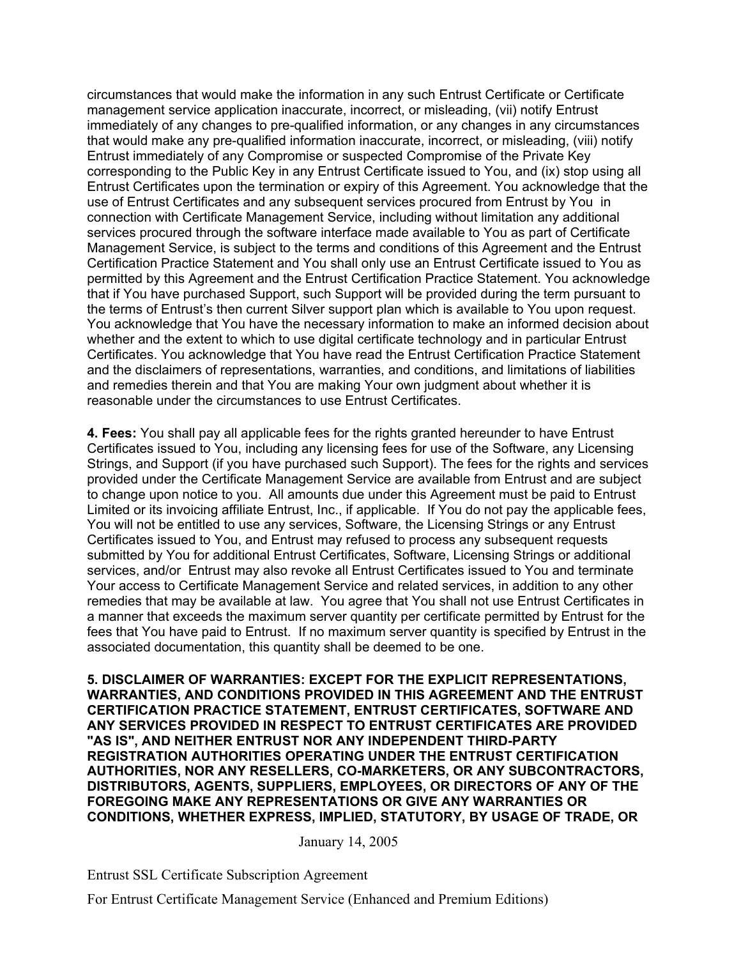circumstances that would make the information in any such Entrust Certificate or Certificate management service application inaccurate, incorrect, or misleading, (vii) notify Entrust immediately of any changes to pre-qualified information, or any changes in any circumstances that would make any pre-qualified information inaccurate, incorrect, or misleading, (viii) notify Entrust immediately of any Compromise or suspected Compromise of the Private Key corresponding to the Public Key in any Entrust Certificate issued to You, and (ix) stop using all Entrust Certificates upon the termination or expiry of this Agreement. You acknowledge that the use of Entrust Certificates and any subsequent services procured from Entrust by You in connection with Certificate Management Service, including without limitation any additional services procured through the software interface made available to You as part of Certificate Management Service, is subject to the terms and conditions of this Agreement and the Entrust Certification Practice Statement and You shall only use an Entrust Certificate issued to You as permitted by this Agreement and the Entrust Certification Practice Statement. You acknowledge that if You have purchased Support, such Support will be provided during the term pursuant to the terms of Entrust's then current Silver support plan which is available to You upon request. You acknowledge that You have the necessary information to make an informed decision about whether and the extent to which to use digital certificate technology and in particular Entrust Certificates. You acknowledge that You have read the Entrust Certification Practice Statement and the disclaimers of representations, warranties, and conditions, and limitations of liabilities and remedies therein and that You are making Your own judgment about whether it is reasonable under the circumstances to use Entrust Certificates.

**4. Fees:** You shall pay all applicable fees for the rights granted hereunder to have Entrust Certificates issued to You, including any licensing fees for use of the Software, any Licensing Strings, and Support (if you have purchased such Support). The fees for the rights and services provided under the Certificate Management Service are available from Entrust and are subject to change upon notice to you. All amounts due under this Agreement must be paid to Entrust Limited or its invoicing affiliate Entrust, Inc., if applicable. If You do not pay the applicable fees, You will not be entitled to use any services, Software, the Licensing Strings or any Entrust Certificates issued to You, and Entrust may refused to process any subsequent requests submitted by You for additional Entrust Certificates, Software, Licensing Strings or additional services, and/or Entrust may also revoke all Entrust Certificates issued to You and terminate Your access to Certificate Management Service and related services, in addition to any other remedies that may be available at law. You agree that You shall not use Entrust Certificates in a manner that exceeds the maximum server quantity per certificate permitted by Entrust for the fees that You have paid to Entrust. If no maximum server quantity is specified by Entrust in the associated documentation, this quantity shall be deemed to be one.

**5. DISCLAIMER OF WARRANTIES: EXCEPT FOR THE EXPLICIT REPRESENTATIONS, WARRANTIES, AND CONDITIONS PROVIDED IN THIS AGREEMENT AND THE ENTRUST CERTIFICATION PRACTICE STATEMENT, ENTRUST CERTIFICATES, SOFTWARE AND ANY SERVICES PROVIDED IN RESPECT TO ENTRUST CERTIFICATES ARE PROVIDED "AS IS", AND NEITHER ENTRUST NOR ANY INDEPENDENT THIRD-PARTY REGISTRATION AUTHORITIES OPERATING UNDER THE ENTRUST CERTIFICATION AUTHORITIES, NOR ANY RESELLERS, CO-MARKETERS, OR ANY SUBCONTRACTORS, DISTRIBUTORS, AGENTS, SUPPLIERS, EMPLOYEES, OR DIRECTORS OF ANY OF THE FOREGOING MAKE ANY REPRESENTATIONS OR GIVE ANY WARRANTIES OR CONDITIONS, WHETHER EXPRESS, IMPLIED, STATUTORY, BY USAGE OF TRADE, OR** 

January 14, 2005

Entrust SSL Certificate Subscription Agreement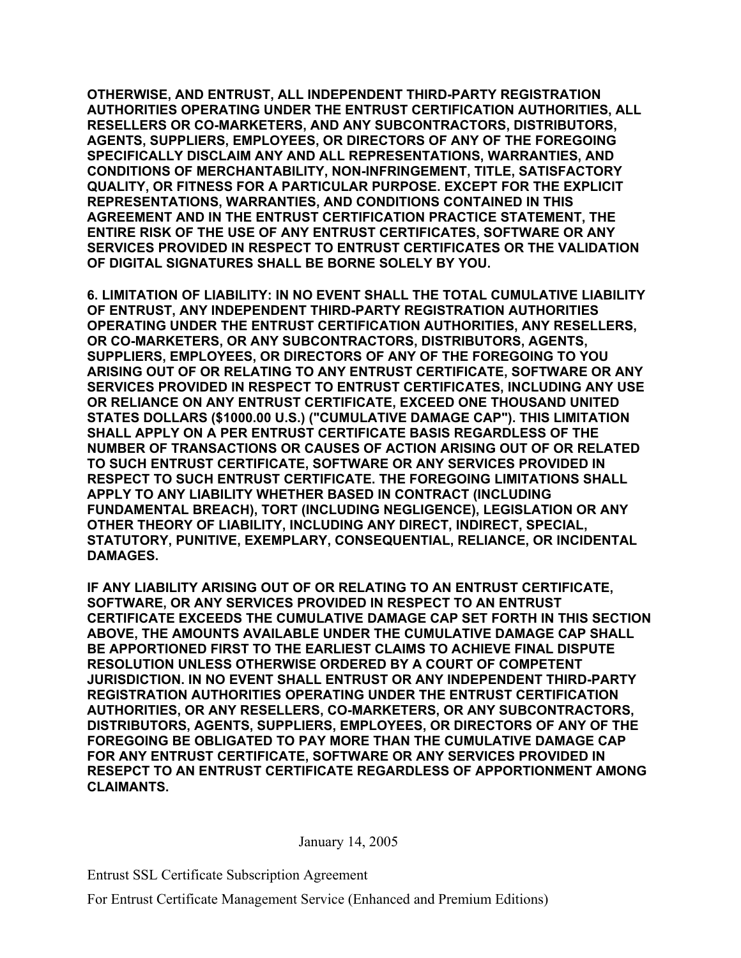**OTHERWISE, AND ENTRUST, ALL INDEPENDENT THIRD-PARTY REGISTRATION AUTHORITIES OPERATING UNDER THE ENTRUST CERTIFICATION AUTHORITIES, ALL RESELLERS OR CO-MARKETERS, AND ANY SUBCONTRACTORS, DISTRIBUTORS, AGENTS, SUPPLIERS, EMPLOYEES, OR DIRECTORS OF ANY OF THE FOREGOING SPECIFICALLY DISCLAIM ANY AND ALL REPRESENTATIONS, WARRANTIES, AND CONDITIONS OF MERCHANTABILITY, NON-INFRINGEMENT, TITLE, SATISFACTORY QUALITY, OR FITNESS FOR A PARTICULAR PURPOSE. EXCEPT FOR THE EXPLICIT REPRESENTATIONS, WARRANTIES, AND CONDITIONS CONTAINED IN THIS AGREEMENT AND IN THE ENTRUST CERTIFICATION PRACTICE STATEMENT, THE ENTIRE RISK OF THE USE OF ANY ENTRUST CERTIFICATES, SOFTWARE OR ANY SERVICES PROVIDED IN RESPECT TO ENTRUST CERTIFICATES OR THE VALIDATION OF DIGITAL SIGNATURES SHALL BE BORNE SOLELY BY YOU.** 

**6. LIMITATION OF LIABILITY: IN NO EVENT SHALL THE TOTAL CUMULATIVE LIABILITY OF ENTRUST, ANY INDEPENDENT THIRD-PARTY REGISTRATION AUTHORITIES OPERATING UNDER THE ENTRUST CERTIFICATION AUTHORITIES, ANY RESELLERS, OR CO-MARKETERS, OR ANY SUBCONTRACTORS, DISTRIBUTORS, AGENTS, SUPPLIERS, EMPLOYEES, OR DIRECTORS OF ANY OF THE FOREGOING TO YOU ARISING OUT OF OR RELATING TO ANY ENTRUST CERTIFICATE, SOFTWARE OR ANY SERVICES PROVIDED IN RESPECT TO ENTRUST CERTIFICATES, INCLUDING ANY USE OR RELIANCE ON ANY ENTRUST CERTIFICATE, EXCEED ONE THOUSAND UNITED STATES DOLLARS (\$1000.00 U.S.) ("CUMULATIVE DAMAGE CAP"). THIS LIMITATION SHALL APPLY ON A PER ENTRUST CERTIFICATE BASIS REGARDLESS OF THE NUMBER OF TRANSACTIONS OR CAUSES OF ACTION ARISING OUT OF OR RELATED TO SUCH ENTRUST CERTIFICATE, SOFTWARE OR ANY SERVICES PROVIDED IN RESPECT TO SUCH ENTRUST CERTIFICATE. THE FOREGOING LIMITATIONS SHALL APPLY TO ANY LIABILITY WHETHER BASED IN CONTRACT (INCLUDING FUNDAMENTAL BREACH), TORT (INCLUDING NEGLIGENCE), LEGISLATION OR ANY OTHER THEORY OF LIABILITY, INCLUDING ANY DIRECT, INDIRECT, SPECIAL, STATUTORY, PUNITIVE, EXEMPLARY, CONSEQUENTIAL, RELIANCE, OR INCIDENTAL DAMAGES.** 

**IF ANY LIABILITY ARISING OUT OF OR RELATING TO AN ENTRUST CERTIFICATE, SOFTWARE, OR ANY SERVICES PROVIDED IN RESPECT TO AN ENTRUST CERTIFICATE EXCEEDS THE CUMULATIVE DAMAGE CAP SET FORTH IN THIS SECTION ABOVE, THE AMOUNTS AVAILABLE UNDER THE CUMULATIVE DAMAGE CAP SHALL BE APPORTIONED FIRST TO THE EARLIEST CLAIMS TO ACHIEVE FINAL DISPUTE RESOLUTION UNLESS OTHERWISE ORDERED BY A COURT OF COMPETENT JURISDICTION. IN NO EVENT SHALL ENTRUST OR ANY INDEPENDENT THIRD-PARTY REGISTRATION AUTHORITIES OPERATING UNDER THE ENTRUST CERTIFICATION AUTHORITIES, OR ANY RESELLERS, CO-MARKETERS, OR ANY SUBCONTRACTORS, DISTRIBUTORS, AGENTS, SUPPLIERS, EMPLOYEES, OR DIRECTORS OF ANY OF THE FOREGOING BE OBLIGATED TO PAY MORE THAN THE CUMULATIVE DAMAGE CAP FOR ANY ENTRUST CERTIFICATE, SOFTWARE OR ANY SERVICES PROVIDED IN RESEPCT TO AN ENTRUST CERTIFICATE REGARDLESS OF APPORTIONMENT AMONG CLAIMANTS.** 

January 14, 2005

Entrust SSL Certificate Subscription Agreement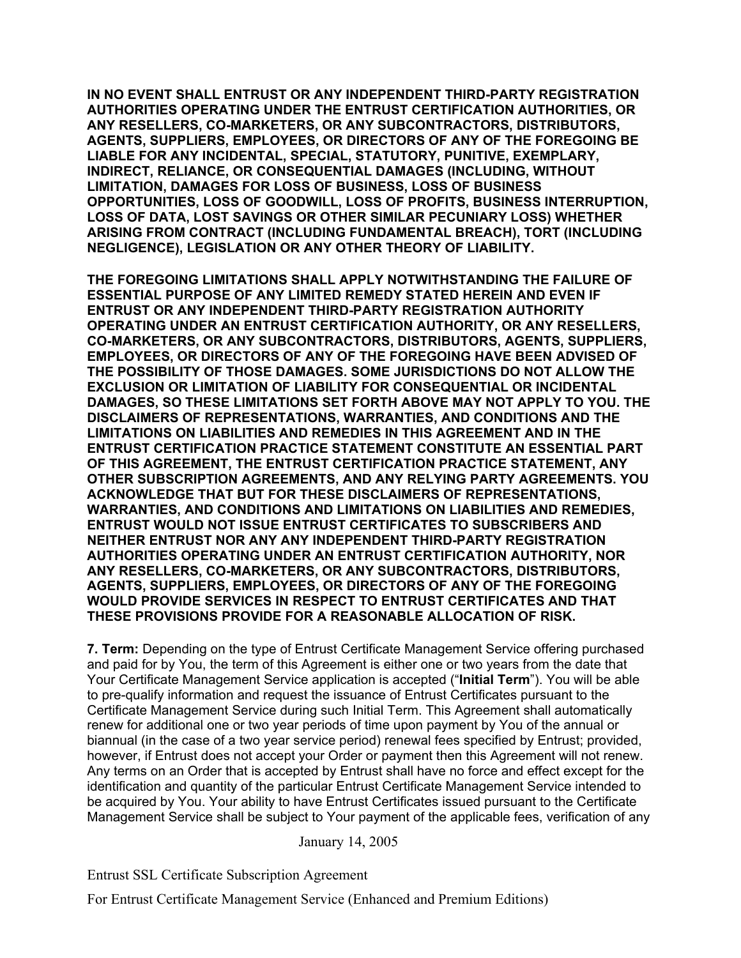**IN NO EVENT SHALL ENTRUST OR ANY INDEPENDENT THIRD-PARTY REGISTRATION AUTHORITIES OPERATING UNDER THE ENTRUST CERTIFICATION AUTHORITIES, OR ANY RESELLERS, CO-MARKETERS, OR ANY SUBCONTRACTORS, DISTRIBUTORS, AGENTS, SUPPLIERS, EMPLOYEES, OR DIRECTORS OF ANY OF THE FOREGOING BE LIABLE FOR ANY INCIDENTAL, SPECIAL, STATUTORY, PUNITIVE, EXEMPLARY, INDIRECT, RELIANCE, OR CONSEQUENTIAL DAMAGES (INCLUDING, WITHOUT LIMITATION, DAMAGES FOR LOSS OF BUSINESS, LOSS OF BUSINESS OPPORTUNITIES, LOSS OF GOODWILL, LOSS OF PROFITS, BUSINESS INTERRUPTION, LOSS OF DATA, LOST SAVINGS OR OTHER SIMILAR PECUNIARY LOSS) WHETHER ARISING FROM CONTRACT (INCLUDING FUNDAMENTAL BREACH), TORT (INCLUDING NEGLIGENCE), LEGISLATION OR ANY OTHER THEORY OF LIABILITY.** 

**THE FOREGOING LIMITATIONS SHALL APPLY NOTWITHSTANDING THE FAILURE OF ESSENTIAL PURPOSE OF ANY LIMITED REMEDY STATED HEREIN AND EVEN IF ENTRUST OR ANY INDEPENDENT THIRD-PARTY REGISTRATION AUTHORITY OPERATING UNDER AN ENTRUST CERTIFICATION AUTHORITY, OR ANY RESELLERS, CO-MARKETERS, OR ANY SUBCONTRACTORS, DISTRIBUTORS, AGENTS, SUPPLIERS, EMPLOYEES, OR DIRECTORS OF ANY OF THE FOREGOING HAVE BEEN ADVISED OF THE POSSIBILITY OF THOSE DAMAGES. SOME JURISDICTIONS DO NOT ALLOW THE EXCLUSION OR LIMITATION OF LIABILITY FOR CONSEQUENTIAL OR INCIDENTAL DAMAGES, SO THESE LIMITATIONS SET FORTH ABOVE MAY NOT APPLY TO YOU. THE DISCLAIMERS OF REPRESENTATIONS, WARRANTIES, AND CONDITIONS AND THE LIMITATIONS ON LIABILITIES AND REMEDIES IN THIS AGREEMENT AND IN THE ENTRUST CERTIFICATION PRACTICE STATEMENT CONSTITUTE AN ESSENTIAL PART OF THIS AGREEMENT, THE ENTRUST CERTIFICATION PRACTICE STATEMENT, ANY OTHER SUBSCRIPTION AGREEMENTS, AND ANY RELYING PARTY AGREEMENTS. YOU ACKNOWLEDGE THAT BUT FOR THESE DISCLAIMERS OF REPRESENTATIONS, WARRANTIES, AND CONDITIONS AND LIMITATIONS ON LIABILITIES AND REMEDIES, ENTRUST WOULD NOT ISSUE ENTRUST CERTIFICATES TO SUBSCRIBERS AND NEITHER ENTRUST NOR ANY ANY INDEPENDENT THIRD-PARTY REGISTRATION AUTHORITIES OPERATING UNDER AN ENTRUST CERTIFICATION AUTHORITY, NOR ANY RESELLERS, CO-MARKETERS, OR ANY SUBCONTRACTORS, DISTRIBUTORS, AGENTS, SUPPLIERS, EMPLOYEES, OR DIRECTORS OF ANY OF THE FOREGOING WOULD PROVIDE SERVICES IN RESPECT TO ENTRUST CERTIFICATES AND THAT THESE PROVISIONS PROVIDE FOR A REASONABLE ALLOCATION OF RISK.**

**7. Term:** Depending on the type of Entrust Certificate Management Service offering purchased and paid for by You, the term of this Agreement is either one or two years from the date that Your Certificate Management Service application is accepted ("**Initial Term**"). You will be able to pre-qualify information and request the issuance of Entrust Certificates pursuant to the Certificate Management Service during such Initial Term. This Agreement shall automatically renew for additional one or two year periods of time upon payment by You of the annual or biannual (in the case of a two year service period) renewal fees specified by Entrust; provided, however, if Entrust does not accept your Order or payment then this Agreement will not renew. Any terms on an Order that is accepted by Entrust shall have no force and effect except for the identification and quantity of the particular Entrust Certificate Management Service intended to be acquired by You. Your ability to have Entrust Certificates issued pursuant to the Certificate Management Service shall be subject to Your payment of the applicable fees, verification of any

January 14, 2005

Entrust SSL Certificate Subscription Agreement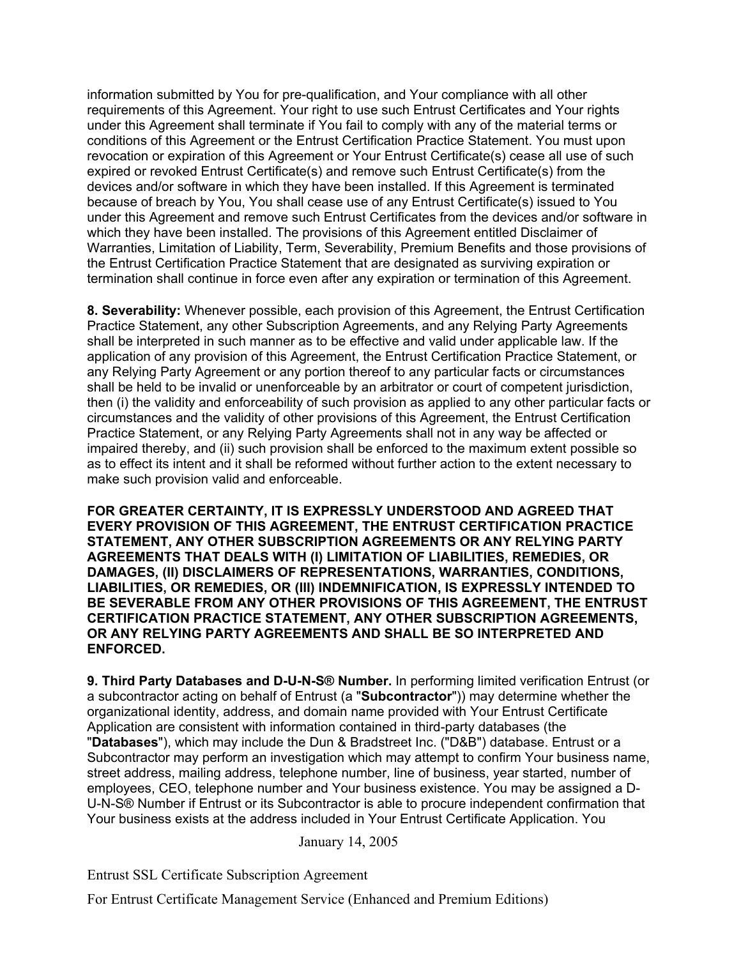information submitted by You for pre-qualification, and Your compliance with all other requirements of this Agreement. Your right to use such Entrust Certificates and Your rights under this Agreement shall terminate if You fail to comply with any of the material terms or conditions of this Agreement or the Entrust Certification Practice Statement. You must upon revocation or expiration of this Agreement or Your Entrust Certificate(s) cease all use of such expired or revoked Entrust Certificate(s) and remove such Entrust Certificate(s) from the devices and/or software in which they have been installed. If this Agreement is terminated because of breach by You, You shall cease use of any Entrust Certificate(s) issued to You under this Agreement and remove such Entrust Certificates from the devices and/or software in which they have been installed. The provisions of this Agreement entitled Disclaimer of Warranties, Limitation of Liability, Term, Severability, Premium Benefits and those provisions of the Entrust Certification Practice Statement that are designated as surviving expiration or termination shall continue in force even after any expiration or termination of this Agreement.

**8. Severability:** Whenever possible, each provision of this Agreement, the Entrust Certification Practice Statement, any other Subscription Agreements, and any Relying Party Agreements shall be interpreted in such manner as to be effective and valid under applicable law. If the application of any provision of this Agreement, the Entrust Certification Practice Statement, or any Relying Party Agreement or any portion thereof to any particular facts or circumstances shall be held to be invalid or unenforceable by an arbitrator or court of competent jurisdiction, then (i) the validity and enforceability of such provision as applied to any other particular facts or circumstances and the validity of other provisions of this Agreement, the Entrust Certification Practice Statement, or any Relying Party Agreements shall not in any way be affected or impaired thereby, and (ii) such provision shall be enforced to the maximum extent possible so as to effect its intent and it shall be reformed without further action to the extent necessary to make such provision valid and enforceable.

**FOR GREATER CERTAINTY, IT IS EXPRESSLY UNDERSTOOD AND AGREED THAT EVERY PROVISION OF THIS AGREEMENT, THE ENTRUST CERTIFICATION PRACTICE STATEMENT, ANY OTHER SUBSCRIPTION AGREEMENTS OR ANY RELYING PARTY AGREEMENTS THAT DEALS WITH (I) LIMITATION OF LIABILITIES, REMEDIES, OR DAMAGES, (II) DISCLAIMERS OF REPRESENTATIONS, WARRANTIES, CONDITIONS, LIABILITIES, OR REMEDIES, OR (III) INDEMNIFICATION, IS EXPRESSLY INTENDED TO BE SEVERABLE FROM ANY OTHER PROVISIONS OF THIS AGREEMENT, THE ENTRUST CERTIFICATION PRACTICE STATEMENT, ANY OTHER SUBSCRIPTION AGREEMENTS, OR ANY RELYING PARTY AGREEMENTS AND SHALL BE SO INTERPRETED AND ENFORCED.**

**9. Third Party Databases and D-U-N-S® Number.** In performing limited verification Entrust (or a subcontractor acting on behalf of Entrust (a "**Subcontractor**")) may determine whether the organizational identity, address, and domain name provided with Your Entrust Certificate Application are consistent with information contained in third-party databases (the "**Databases**"), which may include the Dun & Bradstreet Inc. ("D&B") database. Entrust or a Subcontractor may perform an investigation which may attempt to confirm Your business name, street address, mailing address, telephone number, line of business, year started, number of employees, CEO, telephone number and Your business existence. You may be assigned a D-U-N-S® Number if Entrust or its Subcontractor is able to procure independent confirmation that Your business exists at the address included in Your Entrust Certificate Application. You

January 14, 2005

Entrust SSL Certificate Subscription Agreement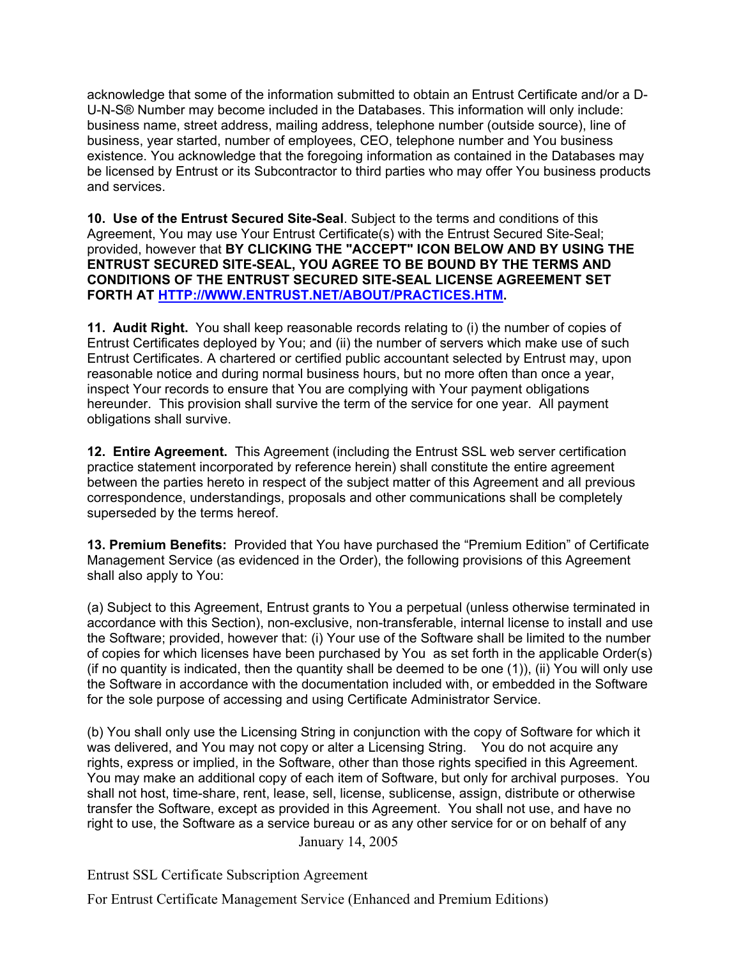acknowledge that some of the information submitted to obtain an Entrust Certificate and/or a D-U-N-S® Number may become included in the Databases. This information will only include: business name, street address, mailing address, telephone number (outside source), line of business, year started, number of employees, CEO, telephone number and You business existence. You acknowledge that the foregoing information as contained in the Databases may be licensed by Entrust or its Subcontractor to third parties who may offer You business products and services.

**10. Use of the Entrust Secured Site-Seal**. Subject to the terms and conditions of this Agreement, You may use Your Entrust Certificate(s) with the Entrust Secured Site-Seal; provided, however that **BY CLICKING THE "ACCEPT" ICON BELOW AND BY USING THE ENTRUST SECURED SITE-SEAL, YOU AGREE TO BE BOUND BY THE TERMS AND CONDITIONS OF THE ENTRUST SECURED SITE-SEAL LICENSE AGREEMENT SET FORTH AT HTTP://WWW.ENTRUST.NET/ABOUT/PRACTICES.HTM.** 

**11. Audit Right.** You shall keep reasonable records relating to (i) the number of copies of Entrust Certificates deployed by You; and (ii) the number of servers which make use of such Entrust Certificates. A chartered or certified public accountant selected by Entrust may, upon reasonable notice and during normal business hours, but no more often than once a year, inspect Your records to ensure that You are complying with Your payment obligations hereunder. This provision shall survive the term of the service for one year. All payment obligations shall survive.

**12. Entire Agreement.** This Agreement (including the Entrust SSL web server certification practice statement incorporated by reference herein) shall constitute the entire agreement between the parties hereto in respect of the subject matter of this Agreement and all previous correspondence, understandings, proposals and other communications shall be completely superseded by the terms hereof.

**13. Premium Benefits:** Provided that You have purchased the "Premium Edition" of Certificate Management Service (as evidenced in the Order), the following provisions of this Agreement shall also apply to You:

(a) Subject to this Agreement, Entrust grants to You a perpetual (unless otherwise terminated in accordance with this Section), non-exclusive, non-transferable, internal license to install and use the Software; provided, however that: (i) Your use of the Software shall be limited to the number of copies for which licenses have been purchased by You as set forth in the applicable Order(s) (if no quantity is indicated, then the quantity shall be deemed to be one (1)), (ii) You will only use the Software in accordance with the documentation included with, or embedded in the Software for the sole purpose of accessing and using Certificate Administrator Service.

 January 14, 2005 (b) You shall only use the Licensing String in conjunction with the copy of Software for which it was delivered, and You may not copy or alter a Licensing String. You do not acquire any rights, express or implied, in the Software, other than those rights specified in this Agreement. You may make an additional copy of each item of Software, but only for archival purposes. You shall not host, time-share, rent, lease, sell, license, sublicense, assign, distribute or otherwise transfer the Software, except as provided in this Agreement. You shall not use, and have no right to use, the Software as a service bureau or as any other service for or on behalf of any

Entrust SSL Certificate Subscription Agreement